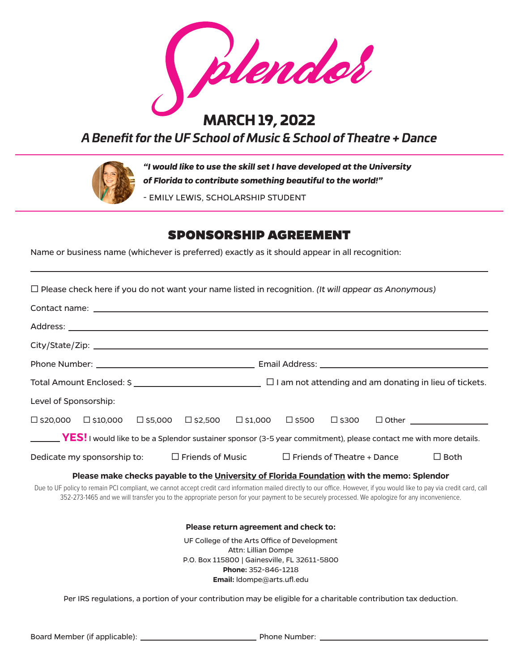plendol

## MARCH 19, 2022

*A Benefit for the UF School of Music & School of Theatre + Dance*



*"I would like to use the skill set I have developed at the University of Florida to contribute something beautiful to the world!"* 

- EMILY LEWIS, SCHOLARSHIP STUDENT

## SPONSORSHIP AGREEMENT

Name or business name (whichever is preferred) exactly as it should appear in all recognition:

| $\Box$ Please check here if you do not want your name listed in recognition. (It will appear as Anonymous)                                                                                                                                                                                                                  |                                                                     |                                    |  |             |  |  |
|-----------------------------------------------------------------------------------------------------------------------------------------------------------------------------------------------------------------------------------------------------------------------------------------------------------------------------|---------------------------------------------------------------------|------------------------------------|--|-------------|--|--|
|                                                                                                                                                                                                                                                                                                                             |                                                                     |                                    |  |             |  |  |
|                                                                                                                                                                                                                                                                                                                             |                                                                     |                                    |  |             |  |  |
|                                                                                                                                                                                                                                                                                                                             |                                                                     |                                    |  |             |  |  |
|                                                                                                                                                                                                                                                                                                                             |                                                                     |                                    |  |             |  |  |
|                                                                                                                                                                                                                                                                                                                             |                                                                     |                                    |  |             |  |  |
| Level of Sponsorship:                                                                                                                                                                                                                                                                                                       |                                                                     |                                    |  |             |  |  |
| $\Box$ \$20,000<br>$\square$ \$10,000 $\square$ \$5,000 $\square$ \$2,500                                                                                                                                                                                                                                                   | $\square$ \$1,000                                                   | $\square$ \$500<br>$\square$ \$300 |  |             |  |  |
| <b>YES!</b> I would like to be a Splendor sustainer sponsor (3-5 year commitment), please contact me with more details.                                                                                                                                                                                                     |                                                                     |                                    |  |             |  |  |
| Dedicate my sponsorship to:                                                                                                                                                                                                                                                                                                 | $\square$ Friends of Music                                          | $\Box$ Friends of Theatre + Dance  |  | $\Box$ Both |  |  |
| Please make checks payable to the University of Florida Foundation with the memo: Splendor                                                                                                                                                                                                                                  |                                                                     |                                    |  |             |  |  |
| Due to UF policy to remain PCI compliant, we cannot accept credit card information mailed directly to our office. However, if you would like to pay via credit card, call<br>352-273-1465 and we will transfer you to the appropriate person for your payment to be securely processed. We apologize for any inconvenience. |                                                                     |                                    |  |             |  |  |
|                                                                                                                                                                                                                                                                                                                             | Please return agreement and check to:                               |                                    |  |             |  |  |
|                                                                                                                                                                                                                                                                                                                             | UF College of the Arts Office of Development<br>Attn: Lillian Dompe |                                    |  |             |  |  |
|                                                                                                                                                                                                                                                                                                                             | P.O. Box 115800   Gainesville, FL 32611-5800<br>Phone: 352-846-1218 |                                    |  |             |  |  |

**Email:** ldompe@arts.ufl.edu

Per IRS regulations, a portion of your contribution may be eligible for a charitable contribution tax deduction.